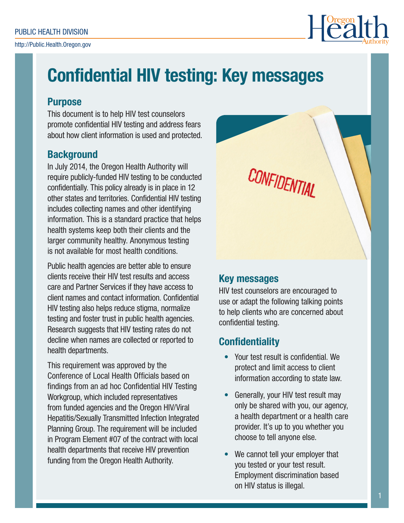http://Public.Health.Oregon.gov



# Confidential HIV testing: Key messages

### **Purpose**

This document is to help HIV test counselors promote confidential HIV testing and address fears about how client information is used and protected.

## **Background**

In July 2014, the Oregon Health Authority will require publicly-funded HIV testing to be conducted confidentially. This policy already is in place in 12 other states and territories. Confidential HIV testing includes collecting names and other identifying information. This is a standard practice that helps health systems keep both their clients and the larger community healthy. Anonymous testing is not available for most health conditions.

Public health agencies are better able to ensure clients receive their HIV test results and access care and Partner Services if they have access to client names and contact information. Confidential HIV testing also helps reduce stigma, normalize testing and foster trust in public health agencies. Research suggests that HIV testing rates do not decline when names are collected or reported to health departments.

This requirement was approved by the Conference of Local Health Officials based on findings from an ad hoc Confidential HIV Testing Workgroup, which included representatives from funded agencies and the Oregon HIV/Viral Hepatitis/Sexually Transmitted Infection Integrated Planning Group. The requirement will be included in Program Element #07 of the contract with local health departments that receive HIV prevention funding from the Oregon Health Authority.

CONFIDENTIAL

## Key messages

HIV test counselors are encouraged to use or adapt the following talking points to help clients who are concerned about confidential testing.

# **Confidentiality**

- Your test result is confidential. We protect and limit access to client information according to state law.
- Generally, your HIV test result may only be shared with you, our agency, a health department or a health care provider. It's up to you whether you choose to tell anyone else.
- We cannot tell your employer that you tested or your test result. Employment discrimination based on HIV status is illegal.